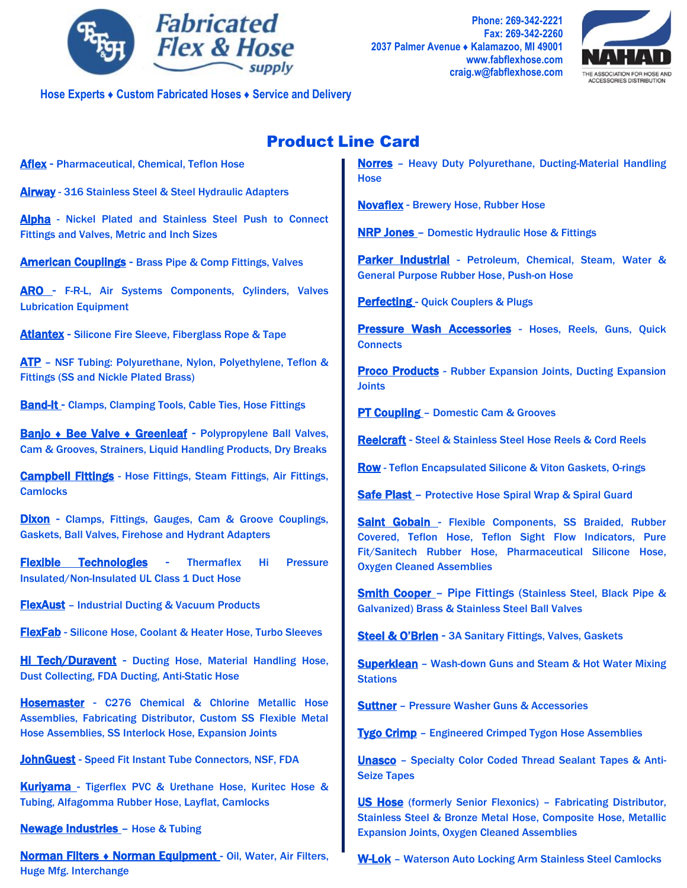

**Phone: 269-342-2221 Fax: 269-342-2260 2037 Palmer Avenue ♦ Kalamazoo, MI 49001 [www.fabflexhose.com](http://www.fabflexhose.com/) craig.w@fabflexhose.com**



**Hose Experts ♦ Custom Fabricated Hoses ♦ Service and Delivery**

## Product Line Card

Aflex - Pharmaceutical, Chemical, Teflon Hose

Airway - 316 Stainless Steel & Steel Hydraulic Adapters

Alpha - Nickel Plated and Stainless Steel Push to Connect Fittings and Valves, Metric and Inch Sizes

American Couplings - Brass Pipe & Comp Fittings, Valves

ARO - F-R-L, Air Systems Components, Cylinders, Valves Lubrication Equipment

Atlantex - Silicone Fire Sleeve, Fiberglass Rope & Tape

ATP - NSF Tubing: Polyurethane, Nylon, Polyethylene, Teflon & Fittings (SS and Nickle Plated Brass)

Band-It - Clamps, Clamping Tools, Cable Ties, Hose Fittings

Banjo + Bee Valve + Greenleaf - Polypropylene Ball Valves, Cam & Grooves, Strainers, Liquid Handling Products, Dry Breaks

Campbell Fittings - Hose Fittings, Steam Fittings, Air Fittings, **Camlocks** 

Dixon - Clamps, Fittings, Gauges, Cam & Groove Couplings, Gaskets, Ball Valves, Firehose and Hydrant Adapters

Flexible Technologies - Thermaflex Hi Pressure Insulated/Non-Insulated UL Class 1 Duct Hose

**FlexAust** - Industrial Ducting & Vacuum Products

FlexFab - Silicone Hose, Coolant & Heater Hose, Turbo Sleeves

Hi Tech/Duravent - Ducting Hose, Material Handling Hose, Dust Collecting, FDA Ducting, Anti-Static Hose

Hosemaster - C276 Chemical & Chlorine Metallic Hose Assemblies, Fabricating Distributor, Custom SS Flexible Metal Hose Assemblies, SS Interlock Hose, Expansion Joints

JohnGuest - Speed Fit Instant Tube Connectors, NSF, FDA

Kuriyama - Tigerflex PVC & Urethane Hose, Kuritec Hose & Tubing, Alfagomma Rubber Hose, Layflat, Camlocks

Newage Industries – Hose & Tubing

Norman Filters ♦ Norman Equipment - Oil, Water, Air Filters, Huge Mfg. Interchange

Norres – Heavy Duty Polyurethane, Ducting-Material Handling **Hose** 

**Novaflex** - Brewery Hose, Rubber Hose

NRP Jones – Domestic Hydraulic Hose & Fittings

Parker Industrial - Petroleum, Chemical, Steam, Water & General Purpose Rubber Hose, Push-on Hose

**Perfecting - Quick Couplers & Plugs** 

Pressure Wash Accessories - Hoses, Reels, Guns, Quick **Connects** 

**Proco Products** - Rubber Expansion Joints, Ducting Expansion **Joints** 

**PT Coupling - Domestic Cam & Grooves** 

Reelcraft - Steel & Stainless Steel Hose Reels & Cord Reels

Row - Teflon Encapsulated Silicone & Viton Gaskets, O-rings

Safe Plast – Protective Hose Spiral Wrap & Spiral Guard

Saint Gobain - Flexible Components, SS Braided, Rubber Covered, Teflon Hose, Teflon Sight Flow Indicators, Pure Fit/Sanitech Rubber Hose, Pharmaceutical Silicone Hose, Oxygen Cleaned Assemblies

Smith Cooper – Pipe Fittings (Stainless Steel, Black Pipe & Galvanized) Brass & Stainless Steel Ball Valves

Steel & O'Brien - 3A Sanitary Fittings, Valves, Gaskets

Superklean – Wash-down Guns and Steam & Hot Water Mixing **Stations** 

Suttner – Pressure Washer Guns & Accessories

Tygo Crimp – Engineered Crimped Tygon Hose Assemblies

**Unasco** - Specialty Color Coded Thread Sealant Tapes & Anti-Seize Tapes

US Hose (formerly Senior Flexonics) – Fabricating Distributor, Stainless Steel & Bronze Metal Hose, Composite Hose, Metallic Expansion Joints, Oxygen Cleaned Assemblies

W-Lok – Waterson Auto Locking Arm Stainless Steel Camlocks